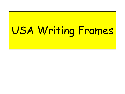## USA Writing Frames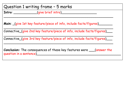Question 1 writing frame – 5 marks

**Intro**: \_\_\_\_\_\_\_\_\_\_\_\_(give brief intro)\_\_\_\_\_\_\_\_\_\_\_\_\_\_\_\_\_\_

**Main:** (give 1st key feature/piece of info, include facts/figures)

\_\_\_\_\_\_\_\_\_\_\_\_\_\_\_\_\_\_\_\_\_\_\_\_\_\_\_\_\_\_\_\_\_\_\_\_\_\_\_\_\_\_\_\_\_\_\_\_\_\_\_\_\_\_\_\_ Connective\_(give 2nd key feature/piece of info, include facts/figures)\_\_\_

\_\_\_\_\_\_\_\_\_\_\_\_\_\_\_\_\_\_\_\_\_\_\_\_\_\_\_\_\_\_\_\_\_\_\_\_\_\_\_\_\_\_\_\_\_\_\_\_\_\_\_\_\_\_\_\_

\_\_\_\_\_\_\_\_\_\_\_\_\_\_\_\_\_\_\_\_\_\_\_\_\_\_\_\_\_\_\_\_\_\_\_\_\_\_\_\_\_\_\_\_\_\_\_\_\_\_\_\_\_\_\_\_ Connective\_(give 3rd key feature/piece of info, include facts/figures)\_\_\_

\_\_\_\_\_\_\_\_\_\_\_\_\_\_\_\_\_\_\_\_\_\_\_\_\_\_\_\_\_\_\_\_\_\_\_\_\_\_\_\_\_\_\_\_\_\_\_\_\_\_\_\_\_\_\_\_

**Conclusion:** The consequences of these key features were \_\_\_(answer the question in a sentence)\_\_\_\_\_\_\_\_\_\_\_\_\_\_\_\_\_\_\_\_\_\_\_\_\_\_\_\_\_\_\_\_\_\_\_\_\_\_\_\_\_\_\_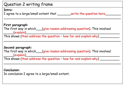| Question 2 writing frame                                                                                                                                                                                                                                                                                                                      |  |  |
|-----------------------------------------------------------------------------------------------------------------------------------------------------------------------------------------------------------------------------------------------------------------------------------------------------------------------------------------------|--|--|
|                                                                                                                                                                                                                                                                                                                                               |  |  |
| Intro:                                                                                                                                                                                                                                                                                                                                        |  |  |
| I agree to a large/small extent that _______write the question here _____                                                                                                                                                                                                                                                                     |  |  |
|                                                                                                                                                                                                                                                                                                                                               |  |  |
|                                                                                                                                                                                                                                                                                                                                               |  |  |
| First paragraph:                                                                                                                                                                                                                                                                                                                              |  |  |
| The first way in which_conjuve reason addressing question). This involved                                                                                                                                                                                                                                                                     |  |  |
|                                                                                                                                                                                                                                                                                                                                               |  |  |
| $\begin{picture}(15,10) \put(0,0){\line(1,0){155}} \put(15,0){\line(1,0){155}} \put(15,0){\line(1,0){155}} \put(15,0){\line(1,0){155}} \put(15,0){\line(1,0){155}} \put(15,0){\line(1,0){155}} \put(15,0){\line(1,0){155}} \put(15,0){\line(1,0){155}} \put(15,0){\line(1,0){155}} \put(15,0){\line(1,0){155}} \put(15,0){\line(1,0){155}} \$ |  |  |
| This shows (then address the question - how far and explain why) ____                                                                                                                                                                                                                                                                         |  |  |
|                                                                                                                                                                                                                                                                                                                                               |  |  |
|                                                                                                                                                                                                                                                                                                                                               |  |  |
| Second paragraph:                                                                                                                                                                                                                                                                                                                             |  |  |
|                                                                                                                                                                                                                                                                                                                                               |  |  |
| The first way in which___(give reason addressing question). This involved                                                                                                                                                                                                                                                                     |  |  |
| $\rule{1em}{0.15mm}$ $\qquad$ $\qquad$ $\qquad$ $\qquad$ $\qquad$ $\qquad$ $\qquad$ $\qquad$ $\qquad$ $\qquad$ $\qquad$ $\qquad$ $\qquad$ $\qquad$ $\qquad$ $\qquad$ $\qquad$ $\qquad$ $\qquad$ $\qquad$ $\qquad$ $\qquad$ $\qquad$ $\qquad$ $\qquad$ $\qquad$ $\qquad$ $\qquad$ $\qquad$ $\qquad$ $\qquad$ $\qquad$ $\qquad$ $\qquad$ $\$    |  |  |
| This shows (then address the question - how far and explain why) _____                                                                                                                                                                                                                                                                        |  |  |
|                                                                                                                                                                                                                                                                                                                                               |  |  |
|                                                                                                                                                                                                                                                                                                                                               |  |  |
|                                                                                                                                                                                                                                                                                                                                               |  |  |
| <b>Conclusion:</b>                                                                                                                                                                                                                                                                                                                            |  |  |
| In conclusion I agree to a large/small extent.                                                                                                                                                                                                                                                                                                |  |  |
|                                                                                                                                                                                                                                                                                                                                               |  |  |
|                                                                                                                                                                                                                                                                                                                                               |  |  |
|                                                                                                                                                                                                                                                                                                                                               |  |  |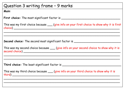## Question 3 writing frame – 9 marks

## **Main**:

**First choice:** The most significant factor is \_\_\_\_\_\_\_\_\_\_\_\_\_\_\_\_\_\_\_\_\_\_\_\_\_\_\_\_\_\_\_\_\_\_

This was my first choice because  $\_\_\_\$  (give info on your first choice to show why it is first choice) \_\_\_\_\_\_\_\_\_\_\_\_\_\_\_\_\_\_\_\_\_\_\_\_\_\_\_\_\_\_\_\_\_\_\_\_\_\_\_\_\_\_\_\_\_\_\_\_\_\_\_\_\_\_\_\_\_\_\_\_\_

\_\_\_\_\_\_\_\_\_\_\_\_\_\_\_\_\_\_\_\_\_\_\_\_\_\_\_\_\_\_\_\_\_\_\_\_\_\_\_\_\_\_\_\_\_\_\_\_\_\_\_\_\_\_\_\_\_\_\_\_\_\_\_\_\_\_\_

 $\ldots$  . The contribution of the contribution of the contribution of the contribution of the contribution of the contribution of the contribution of the contribution of the contribution of the contribution of the contribut

**Second choice:** The second most significant factor is

|                | This was my second choice because ____ (give info on your second choice to show why it is |
|----------------|-------------------------------------------------------------------------------------------|
| second choice) |                                                                                           |

\_\_\_\_\_\_\_\_\_\_\_\_\_\_\_\_\_\_\_\_\_\_\_\_\_\_\_\_\_\_\_\_\_\_\_\_\_\_\_\_\_\_\_\_\_\_\_\_\_\_\_\_\_\_\_\_\_\_\_\_\_\_\_\_\_\_\_ \_\_\_\_\_\_\_\_\_\_\_\_\_\_\_\_\_\_\_\_\_\_\_\_\_\_\_\_\_\_\_\_\_\_\_\_\_\_\_\_\_\_\_\_\_\_\_\_\_\_\_\_\_\_\_\_\_\_\_\_\_\_\_\_\_\_\_

**Third choice:** The least significant factor is \_\_\_\_\_\_\_\_\_\_\_\_\_\_\_\_\_\_\_\_\_\_\_\_\_\_\_\_\_\_\_\_\_

This was my third choice because \_\_\_ (give info on your third choice to show why it is third) \_\_\_\_\_\_\_\_\_\_\_\_\_\_\_\_\_\_\_\_\_\_\_\_\_\_\_\_\_\_\_\_\_\_\_\_\_\_\_\_\_\_\_\_\_\_\_\_\_\_\_\_\_\_\_\_\_\_\_\_\_\_

\_\_\_\_\_\_\_\_\_\_\_\_\_\_\_\_\_\_\_\_\_\_\_\_\_\_\_\_\_\_\_\_\_\_\_\_\_\_\_\_\_\_\_\_\_\_\_\_\_\_\_\_\_\_\_\_\_\_\_\_\_\_\_\_\_\_\_ \_\_\_\_\_\_\_\_\_\_\_\_\_\_\_\_\_\_\_\_\_\_\_\_\_\_\_\_\_\_\_\_\_\_\_\_\_\_\_\_\_\_\_\_\_\_\_\_\_\_\_\_\_\_\_\_\_\_\_\_\_\_\_\_\_\_\_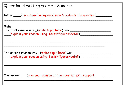| Question 4 writing frame - 8 marks                                                                                                   |  |
|--------------------------------------------------------------------------------------------------------------------------------------|--|
| <b>Intro:</b> (give some background info & address the question)                                                                     |  |
| <b>Main:</b><br>__(explain your reason using facts/figures/detail)                                                                   |  |
| The second reason why _(write topic here) was __________________________________<br>(explain your reason using facts/figures/detail) |  |
| Conclusion: ___(give your opinion on the question with support)__________                                                            |  |